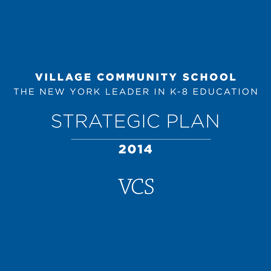## VILLAGE COMMUNITY SCHOOL THE NEW YORK LEADER IN K-8 EDUCATION

# STRATEGIC PLAN

## 2014

**VCS**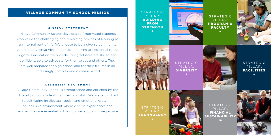## VILLAGE COMMUNITY SCHOOL MISSION STRATEGIC

### MISSION STATEMENT

#### DIVERSITY STATEMENT

Village Community School develops self-motivated students who value the challenging and rewarding process of learning as an integral part of life. We choose to be a diverse community where equity, creativity, and critical thinking are essential to the rigorous education we provide. Our graduates are skilled and confident, able to advocate for themselves and others. They are well prepared for high school and for their futures in an increasingly complex and dynamic world.

PILLAR: BUILDING F R O M STRENGTH 4





STRATEGIC PILLAR: **FINANCIAL SUSTAINABILITY**  $10$ 



Village Community School is strengthened and enriched by the diversity of our students, families, and staff. We are committed to cultivating intellectual, social, and emotional growth in an inclusive environment where diverse experiences and perspectives are essential to the rigorous education we provide.

STRATEGIC PILLAR: **PROGRAM &** FACULTY 6





## STRATEGIC PILLAR: **DIVERSITY** 7



STRATEGIC PILLAR: FACILITIES 8

STRATEGIC PILLAR: TECHNOLOGY 9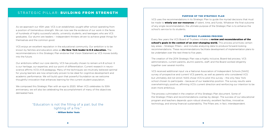As we approach our 45th year, VCS is an established, sought-after school operating from a position of tremendous strength. We can now see the evidence of our work in the faces of hundreds of highly successful adults, university students, and teenagers who are VCS graduates. Our alumni are leaders – independent thinkers driven to achieve great things for themselves and the common good.

VCS enjoys an excellent reputation in the educational community. Our ambition is to be known by families and educators alike as *the* New York leader in K-8 education. The recommendations in this Strategic Plan endorse that Vision Statement as VCS moves boldly into the future.

Our ambitions reflect our core identity. VCS has proudly chosen to remain a K-8 school. It is our heritage, our expertise, and our point of differentiation. Current research in neuroscience affirms VCS's K-8 pedagogy. Many of the techniques we intuitively believed optimal for young learners are now empirically proven to be ideal for cognitive development and academic performance. We will build upon that powerful foundation as we welcome thoughtful innovation that enhances learning for the current student population.

Every few years the VCS Board of Trustees initiates a review and reconsideration of the school's goals in the context of an ever-changing world. This process prioritizes certain key areas – Strategic Pillars – and includes analyzing data to produce forward-looking recommendations. These recommendations facilitate development of implementation plans to be undertaken over the next three to five years.

We composed this Strategic Plan with an eye to 2020. When VCS celebrates its 50th anniversary, we will also be celebrating the accomplishment of many of the objectives delineated here.

#### PURPOSE OF THE STRATEGIC PLAN

VCS uses the recommendations in its Strategic Plan to guide the myriad decisions that must be made to **wisely use our resources** of talent, time, and funds. Whatever the final outcome of any single recommendation, the ultimate purpose of the Strategic Plan is to enhance the school's service to its students.

#### STRATEGIC PLANNING PROCESS

The creation of the 2014 Strategic Plan was a highly inclusive, Board-led process. VCS administrators, current parents, alumni parents, staff, and the Board worked diligently together over several months.

VCS received additional input via a National Association of Independent Schools [NAIS] survey of prospective and current VCS parents, as well as parents who considered VCS but ultimately did not enroll. NAIS chose VCS to pilot this survey – the only New York school chosen to participate – because of our leadership position. The survey results were overwhelmingly positive, affirming VCS's current direction and reinforcing our intention to be even more ambitious.

The process culminated in the creation of this Strategic Plan document. Some of the Strategic Pillars and recommendations overlap by design. The success of our educational program and teachers depends upon robust diversity, excellent facilities, innovative technology, and strong financial sustainability. The Pillars are, in fact, interdependent.

## STRATEGIC PILLAR: BUILDING FROM STRENGTH

### "Education is not the filling of a pail, but the lighting of a fire."

- William Butler Yeats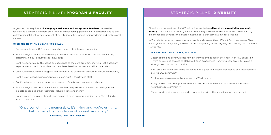## STRATEGIC PILLAR: PROGRAM & FACULTY **STRATEGIC PILLAR: DIVERSITY**

A great school requires a **challenging curriculum and exceptional teachers.** Innovative faculty and a dynamic program are pivotal to our leadership position in K-8 education and to the outstanding intellectual achievement of our students throughout their academic and professional careers.

#### **OVER THE NEXT FIVE YEARS, VCS SHALL:**

Diversity is a cornerstone of a VCS education. We believe **diversity is essential to academic** vitality. We know that a heterogeneous community provides students with the richest learning experience and develops the crucial empathic skills that serve alumni for a lifetime.

- Define excellence in K-8 education and communicate it to our community
- Explore ways to share our leadership in K-8 education with other schools and educators, disseminating our accumulated knowledge
- Continue to formalize the scope and sequence of the core program, knowing that classroom experiences will include much more than these baseline content and skills parameters
- Continue to evaluate the program and formalize the evaluation process to ensure consistency
- Continue attracting, hiring and retaining leading K-8 faculty and staff
- Continue to focus on innovation as a means to faculty and program excellence
- Explore ways to ensure that each staff member can perform to his/her best ability as we allocate space and other resources including time and money
- Communicate the value, strength and design of each program division: Early Years, Middle Years, Upper School

VCS students do more than appreciate people and perspectives different from themselves. They act as global citizens, seeing the world from multiple angles and arguing persuasively from different viewpoints.

#### **OVER THE NEXT FIVE YEARS, VCS SHALL:**

• Better define and communicate how diversity is embedded in the entirety of VCS education – from admissions choices to global outreach experiences – showing how diversity is a core

• Evaluate admissions and hiring practices with a goal to increase acceptance and retention of a

- strength and part of our identity
- diverse VCS community
- Explore ways to measure the success of VCS diversity
- heterogeneous community
- Share our diversity leadership and programming with others in education and beyond

• Analyze New York demographic trends to ensure our diversity efforts reach and retain a

"Once something is memorable, it's living and you're using it. That to me is the foundation of a creative society."

#### – Yo-Yo Ma, Cellist and Composer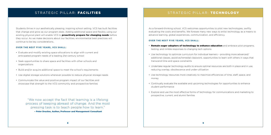Students thrive in our aesthetically pleasing, inspiring school setting. VCS has built facilities that change and grow as our program does. Adding additional space and flexibly using our existing physical plant will enable VCS to **proactively prepare for changing needs** before they occur. As we make decisions about our facilities, environmental best practices will continue to be key considerations.

#### **OVER THE NEXT FIVE YEARS, VCS SHALL:**

- Evaluate and modify existing space allocations to align with current and anticipated program needs of a leading 21st-century school
- Seek opportunities to share space and facilities with other schools and organizations
- Build and/or acquire additional space to meet the school's requirements
- Use digital storage solutions whenever possible to reduce physical storage needs
- Communicate the value and positive program impact of our facilities and showcase that strength to the VCS community and prospective families

## STRATEGIC PILLAR: FACILITIES

As a forward-thinking school, VCS welcomes opportunities to pilot new technologies, swiftly evaluating the costs and benefits. We foresee many new ways to enlist technology as a means to advance learning, global experiences, communication, and efficiency.

#### **OVER THE NEXT FIVE YEARS, VCS SHALL:**

• Use technology to optimize curriculum for individual learners – providing more advanced/ additional classes, assistive/remedial classwork, opportunities to learn with others in ways that

• Undertake regular technology audits to ensure optimal resources are both in place and in use,

- testing, and nimble responses to changing tech options
- transcend time and space constraints
- reducing overlap, obsolescence and under-utilization
- money
- student performance
- prospective, current, and alumni families

**• Remain eager adopters of technology to enhance education** and embrace pilot programs,

• Use technology resources more creatively to maximize efficiencies of time, staff, space, and

• Continually evaluate the available and upcoming technologies for opportunities to enhance

• Explore and use the most effective forms of technology for communications and marketing to

"We now accept the fact that learning is a lifelong process of keeping abreast of change. And the most pressing task is to teach people how to learn."

– Peter Drucker, Author, Professor and Management Consultant

## STRATEGIC PILLAR: TECHNOLOGY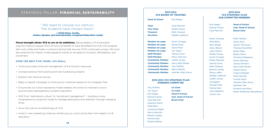Fiscal strength allows VCS to act on its ambitions. Being leaders in K-8 education requires financial support from all who will benefit or have benefited from the VCS program. We must create and foster a culture of giving that ensures VCS's continued success. We must also examine the impact of demographic trends on all aspects of access, affordability, and enrollment.

#### **OVER THE NEXT FIVE YEARS, VCS SHALL:**

- Continue prudent financial management of the school's resources
- Increase revenue from existing and new fundraising streams
- Explore new revenue sources
- Begin a Capital Campaign to fund priority initiatives based on this Strategic Plan
- Ensure that our tuition assistance model enables the school to maintain a socioeconomically heterogeneous student population
- Shift from "admissions culture" to "enrollment management" building a more comprehensive, proactive model to manage admissions and retention through changing times
- Grow the culture of philanthropy at VCS
- Invest in new marketing initiatives reinforcing our vision as the New York leader in K-8 education

**Member-at-Large** Scott Corrigan **Member-at-Large** Norma Katz **Member-at-Large** Adviti Muni **Member-at-Large** Jim Taylor **Staff Member** Tammy Dunn **Staff Member** Harry Hancock **Community Member** Judith Jurney **Community Member** Hila Cohen Rosen **Community Member** Tory Ruffolo **Community Member** Steve Skulnik **Community Member** Jennifer Allan Soros

## STRATEGIC PILLAR: FINANCIAL SUSTAINABILITY

## "We need to choose our century. The students have chosen theirs."

— Heidi Hayes Jacobs, Author, Speaker and internationally recognized Education Leader

#### **2013-2014 VCS BOARD OF TRUSTEES**

**Head of School** Eve Kleger

**Chair** Cara Marriott

**Vice-Chair Allison Russo Treasurer** Mark Howard **Secretary** Natalie Judelson

#### **2013-2014 VCS STRATEGIC PLAN SUB COMMITTEE MEMBERS**

Tory Ruffolo **Co-Chair** Jim Taylor **Co-Chair** Eve Kleger **Head of School** Denise Frazier **Asst. Head of School** Cara Marriott **Board Chair** Susanna Aaron Obie Benz Laurence Hagan Harry Hancock Beverly Israely Norma Katz Pauline Nakios

#### **2013-2014 VCS STRATEGIC PLAN STEERING COMMITTEE**

Karen Azoulay Obie Benz Marc Blazer Alexis Bleich Judy Calixto Renée Chung Scott Corrigan Mindy Dehnert Tammy Dunn Mark Howard Beverly Israely Parisa Jaffer Natalie Judelson Judith Jurney Jill Kaplan Michael Katz Norma Katz Joan Kjelleren Jiyuen Lee

Peter Meinke Adviti Muni Jasmin Norwood Thomas Novembre Sarah Paley Ruben Parra Christina Pelekanos Alison Ramsey Jessica Romero Hila Cohen Rosen Allison Russo Craig Schlanger Steve Skulnik Connie Sopic Jennifer Allan Soros Kathleen Tait Richard Vermillion Sarah Williamson-Broadman

Eve Kleger **Head of School** Denise Frazier **Asst. Head of School**

Cara Marriott **Board Chair**